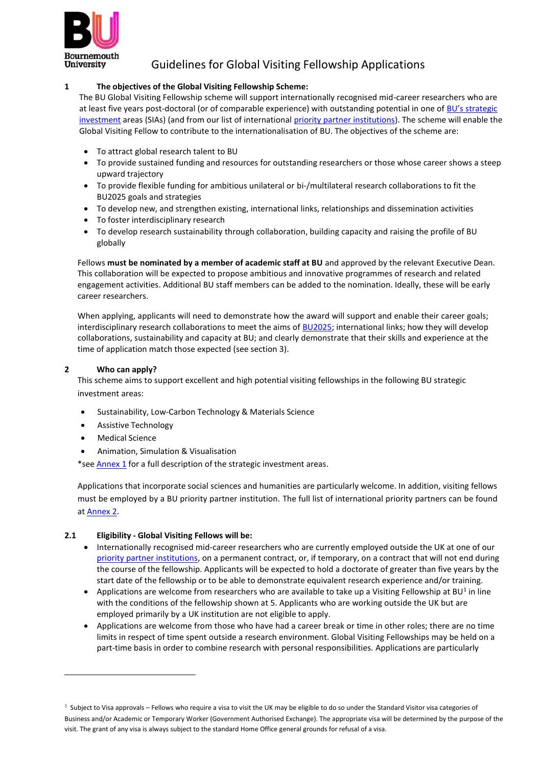

# Guidelines for Global Visiting Fellowship Applications

# **1 The objectives of the Global Visiting Fellowship Scheme:**

The BU Global Visiting Fellowship scheme will support internationally recognised mid-career researchers who are at least five years post-doctoral (or of comparable experience) with outstanding potential in one of [BU's strategi](#page-4-0)c [investment](#page-4-0) areas (SIAs) (and from our list of international [priority partner institutions\)](#page-5-0). The scheme will enable the Global Visiting Fellow to contribute to the internationalisation of BU. The objectives of the scheme are:

- To attract global research talent to BU
- To provide sustained funding and resources for outstanding researchers or those whose career shows a steep upward trajectory
- To provide flexible funding for ambitious unilateral or bi-/multilateral research collaborations to fit the BU2025 goals and strategies
- To develop new, and strengthen existing, international links, relationships and dissemination activities
- To foster interdisciplinary research
- To develop research sustainability through collaboration, building capacity and raising the profile of BU globally

Fellows **must be nominated by a member of academic staff at BU** and approved by the relevant Executive Dean. This collaboration will be expected to propose ambitious and innovative programmes of research and related engagement activities. Additional BU staff members can be added to the nomination. Ideally, these will be early career researchers.

When applying, applicants will need to demonstrate how the award will support and enable their career goals; interdisciplinary research collaborations to meet the aims of **BU2025**; international links; how they will develop collaborations, sustainability and capacity at BU; and clearly demonstrate that their skills and experience at the time of application match those expected (see section 3).

# **2 Who can apply?**

This scheme aims to support excellent and high potential visiting fellowships in the following BU strategic investment areas:

- Sustainability, Low-Carbon Technology & Materials Science
- Assistive Technology
- **Medical Science**
- Animation, Simulation & Visualisation

\*see [Annex](#page-4-0) 1 for a full description of the strategic investment areas.

Applications that incorporate social sciences and humanities are particularly welcome. In addition, visiting fellows must be employed by a BU priority partner institution. The full list of international priority partners can be found a[t Annex](#page-5-0) 2.

#### **2.1 Eligibility - Global Visiting Fellows will be:**

- Internationally recognised mid-career researchers who are currently employed outside the UK at one of our [priority partner institutions, o](#page-5-0)n a permanent contract, or, if temporary, on a contract that will not end during the course of the fellowship. Applicants will be expected to hold a doctorate of greater than five years by the start date of the fellowship or to be able to demonstrate equivalent research experience and/or training.
- Applications are welcome from researchers who are available to take up a Visiting Fellowship at BU<sup>1</sup> in line with the conditions of the fellowship shown at 5. Applicants who are working outside the UK but are employed primarily by a UK institution are not eligible to apply.
- Applications are welcome from those who have had a career break or time in other roles; there are no time limits in respect of time spent outside a research environment. Global Visiting Fellowships may be held on a part-time basis in order to combine research with personal responsibilities. Applications are particularly

<sup>&</sup>lt;sup>1</sup> Subject to Visa approvals – Fellows who require a visa to visit the UK may be eligible to do so under the Standard Visitor visa categories of Business and/or Academic or Temporary Worker (Government Authorised Exchange). The appropriate visa will be determined by the purpose of the

visit. The grant of any visa is always subject to the standard Home Office general grounds for refusal of a visa.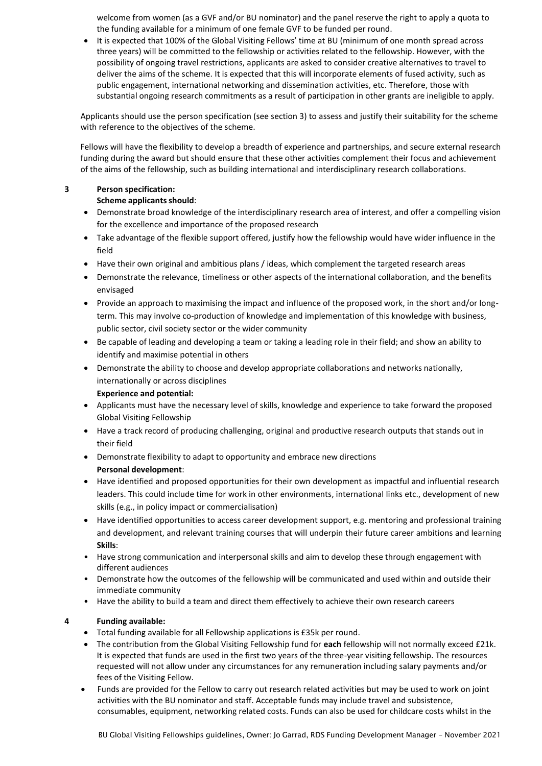welcome from women (as a GVF and/or BU nominator) and the panel reserve the right to apply a quota to the funding available for a minimum of one female GVF to be funded per round.

• It is expected that 100% of the Global Visiting Fellows' time at BU (minimum of one month spread across three years) will be committed to the fellowship or activities related to the fellowship. However, with the possibility of ongoing travel restrictions, applicants are asked to consider creative alternatives to travel to deliver the aims of the scheme. It is expected that this will incorporate elements of fused activity, such as public engagement, international networking and dissemination activities, etc. Therefore, those with substantial ongoing research commitments as a result of participation in other grants are ineligible to apply.

Applicants should use the person specification (see section 3) to assess and justify their suitability for the scheme with reference to the objectives of the scheme.

Fellows will have the flexibility to develop a breadth of experience and partnerships, and secure external research funding during the award but should ensure that these other activities complement their focus and achievement of the aims of the fellowship, such as building international and interdisciplinary research collaborations.

# **3 Person specification:**

## **Scheme applicants should**:

- Demonstrate broad knowledge of the interdisciplinary research area of interest, and offer a compelling vision for the excellence and importance of the proposed research
- Take advantage of the flexible support offered, justify how the fellowship would have wider influence in the field
- Have their own original and ambitious plans / ideas, which complement the targeted research areas
- Demonstrate the relevance, timeliness or other aspects of the international collaboration, and the benefits envisaged
- Provide an approach to maximising the impact and influence of the proposed work, in the short and/or longterm. This may involve co-production of knowledge and implementation of this knowledge with business, public sector, civil society sector or the wider community
- Be capable of leading and developing a team or taking a leading role in their field; and show an ability to identify and maximise potential in others
- Demonstrate the ability to choose and develop appropriate collaborations and networks nationally, internationally or across disciplines

# **Experience and potential:**

- Applicants must have the necessary level of skills, knowledge and experience to take forward the proposed Global Visiting Fellowship
- Have a track record of producing challenging, original and productive research outputs that stands out in their field
- Demonstrate flexibility to adapt to opportunity and embrace new directions **Personal development**:
- Have identified and proposed opportunities for their own development as impactful and influential research leaders. This could include time for work in other environments, international links etc., development of new skills (e.g., in policy impact or commercialisation)
- Have identified opportunities to access career development support, e.g. mentoring and professional training and development, and relevant training courses that will underpin their future career ambitions and learning **Skills**:
- Have strong communication and interpersonal skills and aim to develop these through engagement with different audiences
- Demonstrate how the outcomes of the fellowship will be communicated and used within and outside their immediate community
- Have the ability to build a team and direct them effectively to achieve their own research careers

# **4 Funding available:**

- Total funding available for all Fellowship applications is £35k per round.
- The contribution from the Global Visiting Fellowship fund for **each** fellowship will not normally exceed £21k. It is expected that funds are used in the first two years of the three-year visiting fellowship. The resources requested will not allow under any circumstances for any remuneration including salary payments and/or fees of the Visiting Fellow.
- Funds are provided for the Fellow to carry out research related activities but may be used to work on joint activities with the BU nominator and staff. Acceptable funds may include travel and subsistence, consumables, equipment, networking related costs. Funds can also be used for childcare costs whilst in the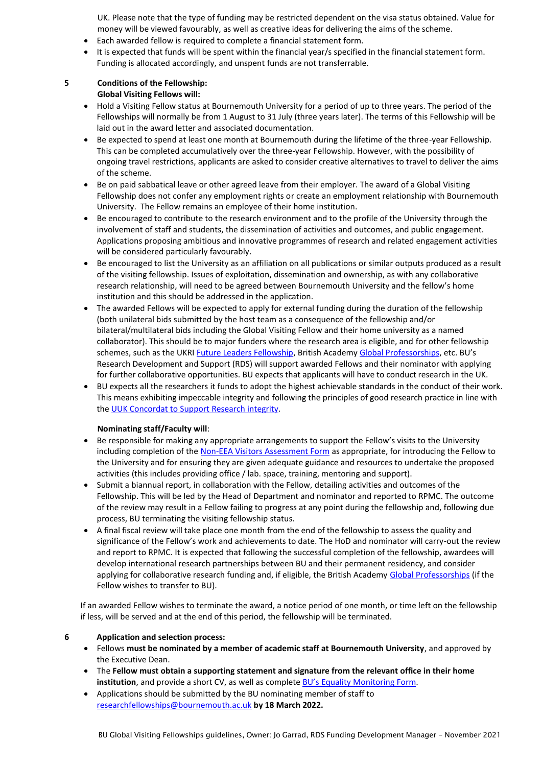UK. Please note that the type of funding may be restricted dependent on the visa status obtained. Value for money will be viewed favourably, as well as creative ideas for delivering the aims of the scheme.

- Each awarded fellow is required to complete a financial statement form.
- It is expected that funds will be spent within the financial year/s specified in the financial statement form. Funding is allocated accordingly, and unspent funds are not transferrable.

# **5 Conditions of the Fellowship:**

- **Global Visiting Fellows will:**
- Hold a Visiting Fellow status at Bournemouth University for a period of up to three years. The period of the Fellowships will normally be from 1 August to 31 July (three years later). The terms of this Fellowship will be laid out in the award letter and associated documentation.
- Be expected to spend at least one month at Bournemouth during the lifetime of the three-year Fellowship. This can be completed accumulatively over the three-year Fellowship. However, with the possibility of ongoing travel restrictions, applicants are asked to consider creative alternatives to travel to deliver the aims of the scheme.
- Be on paid sabbatical leave or other agreed leave from their employer. The award of a Global Visiting Fellowship does not confer any employment rights or create an employment relationship with Bournemouth University. The Fellow remains an employee of their home institution.
- Be encouraged to contribute to the research environment and to the profile of the University through the involvement of staff and students, the dissemination of activities and outcomes, and public engagement. Applications proposing ambitious and innovative programmes of research and related engagement activities will be considered particularly favourably.
- Be encouraged to list the University as an affiliation on all publications or similar outputs produced as a result of the visiting fellowship. Issues of exploitation, dissemination and ownership, as with any collaborative research relationship, will need to be agreed between Bournemouth University and the fellow's home institution and this should be addressed in the application.
- The awarded Fellows will be expected to apply for external funding during the duration of the fellowship (both unilateral bids submitted by the host team as a consequence of the fellowship and/or bilateral/multilateral bids including the Global Visiting Fellow and their home university as a named collaborator). This should be to major funders where the research area is eligible, and for other fellowship schemes, such as the UKRI *Euture Leaders Fellowship*, British Academy [Global Professorships,](https://www.thebritishacademy.ac.uk/programmes/global-professorships) etc. BU's Research Development and Support (RDS) will support awarded Fellows and their nominator with applying for further collaborative opportunities. BU expects that applicants will have to conduct research in the UK.
- BU expects all the researchers it funds to adopt the highest achievable standards in the conduct of their work. This means exhibiting impeccable integrity and following the principles of good research practice in line with the UUK Concordat to [Support Research integrity.](https://www.universitiesuk.ac.uk/policy-and-analysis/reports/Pages/research-concordat.aspx)

# **Nominating staff/Faculty will**:

- Be responsible for making any appropriate arrangements to support the Fellow's visits to the University including completion of the [Non-EEA Visitors Assessment Form](https://intranetsp.bournemouth.ac.uk/formsrep/Non-EEA%20Visitor%20assessment%20form.docx) as appropriate, for introducing the Fellow to the University and for ensuring they are given adequate guidance and resources to undertake the proposed activities (this includes providing office / lab. space, training, mentoring and support).
- Submit a biannual report, in collaboration with the Fellow, detailing activities and outcomes of the Fellowship. This will be led by the Head of Department and nominator and reported to RPMC. The outcome of the review may result in a Fellow failing to progress at any point during the fellowship and, following due process, BU terminating the visiting fellowship status.
- A final fiscal review will take place one month from the end of the fellowship to assess the quality and significance of the Fellow's work and achievements to date. The HoD and nominator will carry-out the review and report to RPMC. It is expected that following the successful completion of the fellowship, awardees will develop international research partnerships between BU and their permanent residency, and consider applying for collaborative research funding and, if eligible, the British Academy [Global Professorships](https://www.thebritishacademy.ac.uk/programmes/global-professorships) (if the Fellow wishes to transfer to BU).

If an awarded Fellow wishes to terminate the award, a notice period of one month, or time left on the fellowship if less, will be served and at the end of this period, the fellowship will be terminated.

#### **6 Application and selection process:**

- Fellows **must be nominated by a member of academic staff at Bournemouth University**, and approved by the Executive Dean.
- The **Fellow must obtain a supporting statement and signature from the relevant office in their home institution**, and provide a short CV, as well as complete BU's Equality [Monitoring](https://www.bournemouth.ac.uk/sites/default/files/asset/document/Equality%20Monitoring%20Form.docx) Form.
- Applications should be submitted by the BU nominating member of staff to [researchfellowships@bournemouth.ac.uk](mailto:researchfellowships@bournemouth.ac.uk) **by 18 March 2022.**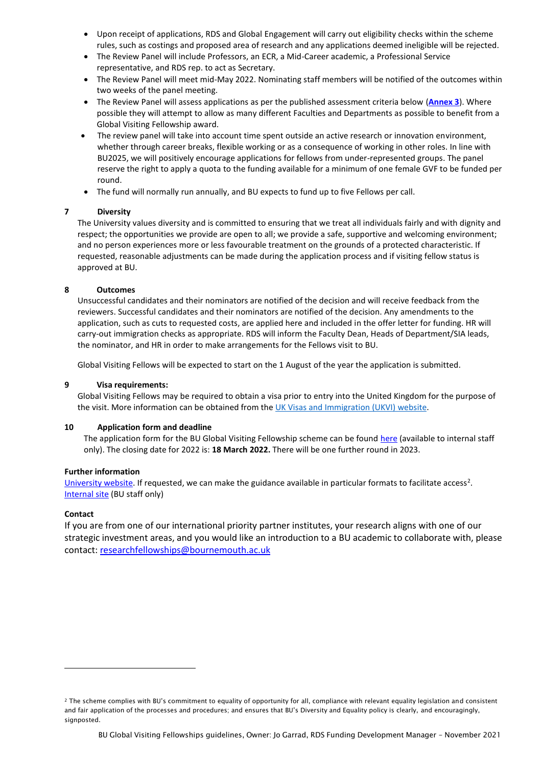- Upon receipt of applications, RDS and Global Engagement will carry out eligibility checks within the scheme rules, such as costings and proposed area of research and any applications deemed ineligible will be rejected.
- The Review Panel will include Professors, an ECR, a Mid-Career academic, a Professional Service representative, and RDS rep. to act as Secretary.
- The Review Panel will meet mid-May 2022. Nominating staff members will be notified of the outcomes within two weeks of the panel meeting.
- The Review Panel will assess applications as per the published assessment criteria below (**[Annex 3](#page-6-0)**). Where possible they will attempt to allow as many different Faculties and Departments as possible to benefit from a Global Visiting Fellowship award.
- The review panel will take into account time spent outside an active research or innovation environment, whether through career breaks, flexible working or as a consequence of working in other roles. In line with BU2025, we will positively encourage applications for fellows from under-represented groups. The panel reserve the right to apply a quota to the funding available for a minimum of one female GVF to be funded per round.
- The fund will normally run annually, and BU expects to fund up to five Fellows per call.

## **7 Diversity**

The University values diversity and is committed to ensuring that we treat all individuals fairly and with dignity and respect; the opportunities we provide are open to all; we provide a safe, supportive and welcoming environment; and no person experiences more or less favourable treatment on the grounds of a protected characteristic. If requested, reasonable adjustments can be made during the application process and if visiting fellow status is approved at BU.

## **8 Outcomes**

Unsuccessful candidates and their nominators are notified of the decision and will receive feedback from the reviewers. Successful candidates and their nominators are notified of the decision. Any amendments to the application, such as cuts to requested costs, are applied here and included in the offer letter for funding. HR will carry-out immigration checks as appropriate. RDS will inform the Faculty Dean, Heads of Department/SIA leads, the nominator, and HR in order to make arrangements for the Fellows visit to BU.

Global Visiting Fellows will be expected to start on the 1 August of the year the application is submitted.

### **9 Visa requirements:**

Global Visiting Fellows may be required to obtain a visa prior to entry into the United Kingdom for the purpose of the visit. More information can be obtained from the UK Visas [and Immigration \(UKVI\)](https://eur02.safelinks.protection.outlook.com/?url=https%3A%2F%2Fwww.gov.uk%2Fstandard-visitor-visa&data=04%7C01%7Cjgarrad%40bournemouth.ac.uk%7C3dc94951e590476e30dd08d99df9aae6%7Cede29655d09742e4bbb5f38d427fbfb8%7C0%7C0%7C637714517893869989%7CUnknown%7CTWFpbGZsb3d8eyJWIjoiMC4wLjAwMDAiLCJQIjoiV2luMzIiLCJBTiI6Ik1haWwiLCJXVCI6Mn0%3D%7C1000&sdata=WugvkN%2Fu6n1ICC3klZqgOu14nFJ%2FmGHKybV8fSmOFIw%3D&reserved=0) website.

#### **10 Application form and deadline**

The application form for the BU Global Visiting Fellowship scheme can be found [here](https://intranetsp.bournemouth.ac.uk/documentsrep/Global%20Visiting%20Fellowship%20Application%20Form%20Rd3.docx) (available to internal staff only). The closing date for 2022 is: **18 March 2022.** There will be one further round in 2023.

#### **Further information**

[University website. I](https://www.bournemouth.ac.uk/study/global-bu/global-partnerships/bu-global-visiting-fellowship-scheme)f requested, we can make the guidance available in particular formats to facilitate access<sup>2</sup>. [Internal](https://intranetsp.bournemouth.ac.uk/documentsrep/BU%20Global%20Visiting%20Fellowship%20Guidelines.docx) site (BU staff only)

#### **Contact**

If you are from one of our international priority partner institutes, your research aligns with one of our strategic investment areas, and you would like an introduction to a BU academic to collaborate with, please contact: [researchfellowships@bournemouth.ac.uk](mailto:researchfellowships@bournemouth.ac.uk)

<sup>2</sup> The scheme complies with BU's commitment to equality of opportunity for all, compliance with relevant equality legislation and consistent and fair application of the processes and procedures; and ensures that BU's Diversity and Equality policy is clearly, and encouragingly, signposted.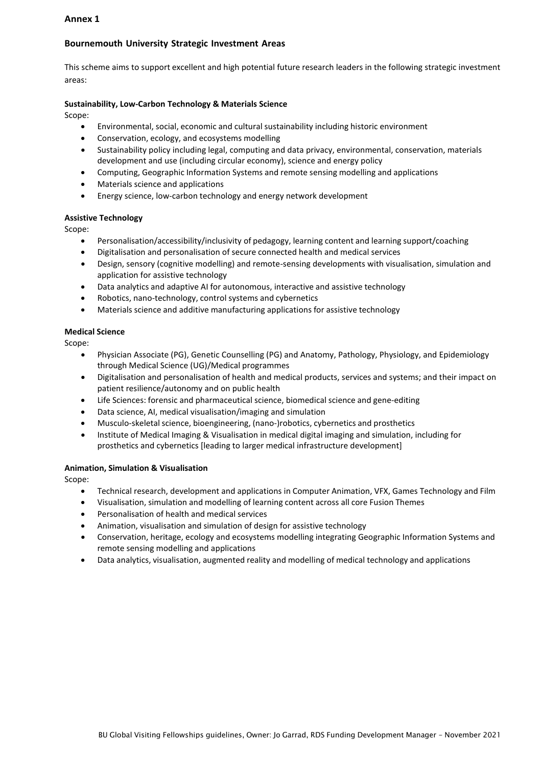## <span id="page-4-0"></span>**Annex 1**

# **Bournemouth University Strategic Investment Areas**

This scheme aims to support excellent and high potential future research leaders in the following strategic investment areas:

## **Sustainability, Low-Carbon Technology & Materials Science**

Scope:

- Environmental, social, economic and cultural sustainability including historic environment
- Conservation, ecology, and ecosystems modelling
- Sustainability policy including legal, computing and data privacy, environmental, conservation, materials development and use (including circular economy), science and energy policy
- Computing, Geographic Information Systems and remote sensing modelling and applications
- Materials science and applications
- Energy science, low-carbon technology and energy network development

#### **Assistive Technology**

Scope:

- Personalisation/accessibility/inclusivity of pedagogy, learning content and learning support/coaching
- Digitalisation and personalisation of secure connected health and medical services
- Design, sensory (cognitive modelling) and remote-sensing developments with visualisation, simulation and application for assistive technology
- Data analytics and adaptive AI for autonomous, interactive and assistive technology
- Robotics, nano-technology, control systems and cybernetics
- Materials science and additive manufacturing applications for assistive technology

#### **Medical Science**

Scope:

- Physician Associate (PG), Genetic Counselling (PG) and Anatomy, Pathology, Physiology, and Epidemiology through Medical Science (UG)/Medical programmes
- Digitalisation and personalisation of health and medical products, services and systems; and their impact on patient resilience/autonomy and on public health
- Life Sciences: forensic and pharmaceutical science, biomedical science and gene-editing
- Data science, AI, medical visualisation/imaging and simulation
- Musculo-skeletal science, bioengineering, (nano-)robotics, cybernetics and prosthetics
- Institute of Medical Imaging & Visualisation in medical digital imaging and simulation, including for prosthetics and cybernetics [leading to larger medical infrastructure development]

#### **Animation, Simulation & Visualisation**

Scope:

- Technical research, development and applications in Computer Animation, VFX, Games Technology and Film
- Visualisation, simulation and modelling of learning content across all core Fusion Themes
- Personalisation of health and medical services
- Animation, visualisation and simulation of design for assistive technology
- Conservation, heritage, ecology and ecosystems modelling integrating Geographic Information Systems and remote sensing modelling and applications
- Data analytics, visualisation, augmented reality and modelling of medical technology and applications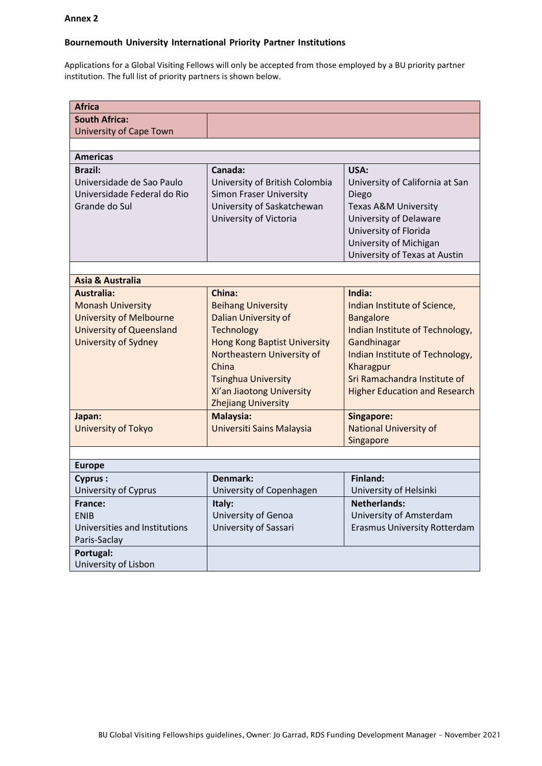### <span id="page-5-0"></span>**Annex 2**

# **Bournemouth University International Priority Partner Institutions**

Applications for a Global Visiting Fellows will only be accepted from those employed by a BU priority partner institution. The full list of priority partners is shown below.

| <b>Africa</b>                                |                                     |                                                 |
|----------------------------------------------|-------------------------------------|-------------------------------------------------|
| <b>South Africa:</b>                         |                                     |                                                 |
| <b>University of Cape Town</b>               |                                     |                                                 |
|                                              |                                     |                                                 |
| <b>Americas</b>                              |                                     |                                                 |
| <b>Brazil:</b>                               | Canada:                             | USA:                                            |
| Universidade de Sao Paulo                    | University of British Colombia      | University of California at San                 |
| Universidade Federal do Rio                  | <b>Simon Fraser University</b>      | Diego                                           |
| Grande do Sul                                | University of Saskatchewan          | <b>Texas A&amp;M University</b>                 |
|                                              | University of Victoria              | University of Delaware                          |
|                                              |                                     | University of Florida<br>University of Michigan |
|                                              |                                     | University of Texas at Austin                   |
|                                              |                                     |                                                 |
| <b>Asia &amp; Australia</b>                  |                                     |                                                 |
| Australia:                                   | China:                              | India:                                          |
| <b>Monash University</b>                     | <b>Beihang University</b>           | Indian Institute of Science,                    |
| <b>University of Melbourne</b>               | <b>Dalian University of</b>         | <b>Bangalore</b>                                |
| <b>University of Queensland</b>              | Technology                          | Indian Institute of Technology,                 |
| University of Sydney                         | <b>Hong Kong Baptist University</b> | Gandhinagar                                     |
|                                              | Northeastern University of          | Indian Institute of Technology,                 |
|                                              | China                               | Kharagpur                                       |
|                                              | <b>Tsinghua University</b>          | Sri Ramachandra Institute of                    |
|                                              | Xi'an Jiaotong University           | <b>Higher Education and Research</b>            |
|                                              | <b>Zhejiang University</b>          |                                                 |
| Japan:                                       | Malaysia:                           | Singapore:                                      |
| University of Tokyo                          | Universiti Sains Malaysia           | <b>National University of</b>                   |
|                                              |                                     | Singapore                                       |
|                                              |                                     |                                                 |
| <b>Europe</b>                                |                                     |                                                 |
| <b>Cyprus:</b>                               | Denmark:                            | Finland:                                        |
| University of Cyprus                         | University of Copenhagen            | University of Helsinki                          |
| France:                                      | Italy:                              | <b>Netherlands:</b>                             |
| <b>ENIB</b><br>Universities and Institutions | University of Genoa                 | University of Amsterdam                         |
|                                              | University of Sassari               | <b>Erasmus University Rotterdam</b>             |
| Paris-Saclay                                 |                                     |                                                 |
| Portugal:<br>University of Lisbon            |                                     |                                                 |
|                                              |                                     |                                                 |